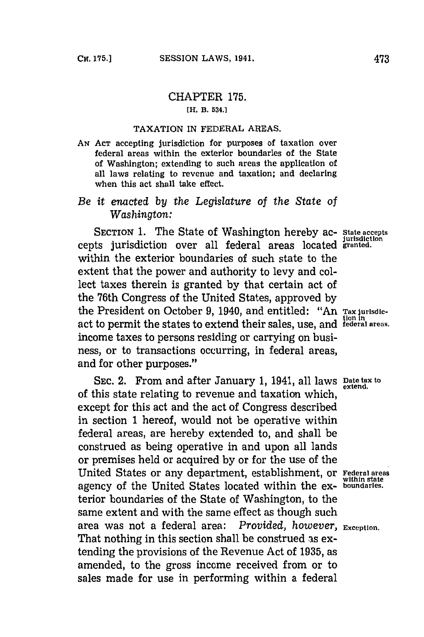# CHAPTER **175.**

## [H. **B. 534.]**

## **TAXATION** IN FEDERAL **AREAS.**

**AN ACT** accepting jurisdiction for purposes of taxation over federal areas within the exterior boundaries of the State of Washington; extending to such areas the application of all laws relating to revenue and taxation; and declaring when this act shall take effect.

# *Be it* enacted *by the Legislature of the State of Washington:*

SECTION **1.** The State of Washington hereby ac- **state accepts** cepts jurisdiction over all federal areas located **granted.** within the exterior boundaries of such state to the extent that the power and authority to levy and collect taxes therein is granted **by** that certain act of the 76th Congress of the United States, approved **by** the President on October **9,** 1940, and entitled: "An **Tax jurisdic**act to permit the states to extend their sales, use, and **federal areas.** income taxes to persons residing or carrying on business, or to transactions occurring, in federal areas, and for other purposes."

SEC. 2. From and after January 1, 1941, all laws **Date tax** to of this state relating to revenue and taxation which, except for this act and the act of Congress described in section **1** hereof, would not be operative within federal areas, are hereby extended to, and shall be construed as being operative in and upon all lands or premises held or acquired **by** or for the use of the United States or any department, establishment, or **Federal areas within stale** agency of the United States located within the ex- **boundaries.** tenior boundaries of the State of Washington, to the same extent and with the same effect as though such area was not a federal area: *Provided, however*, **Exception.** That nothing in this section shall be construed **as** extending the provisions of the Revenue Act of **1935,** as amended, to the gross income received from or to sales made for use in performing within a federal